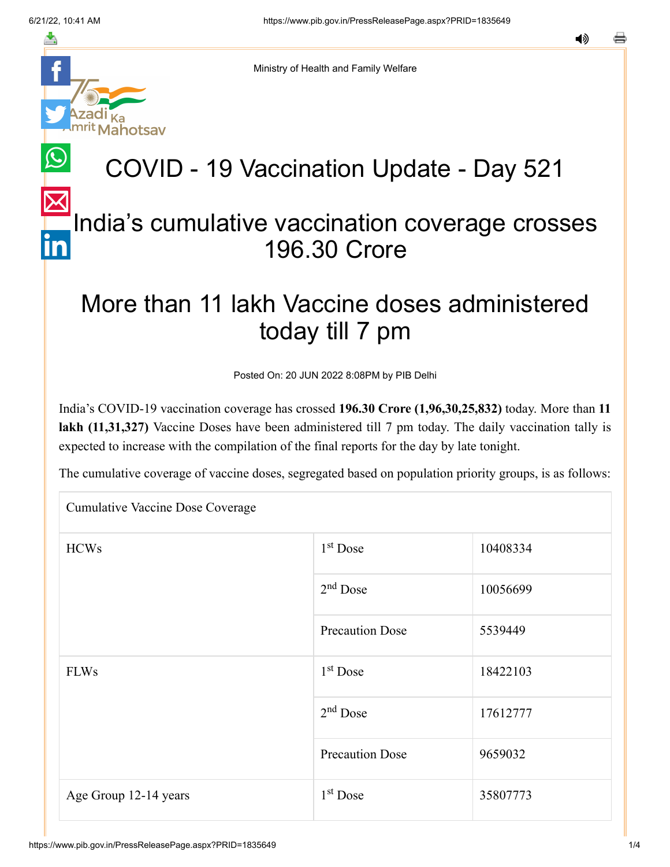hotsav

≛

Ministry of Health and Family Welfare

## COVID - 19 Vaccination Update - Day 521

### [In](https://www.linkedin.com/shareArticle?mini=true&url=https://pib.gov.in/PressReleasePage.aspx?PRID=1835649&title=COVID%20-%2019%20Vaccination%20Update%20-%20Day%20521&summary=My%20favorite%20developer%20program&source=LinkedIn)dia's cumulative vaccination coverage crosses 196.30 Crore

### More than 11 lakh Vaccine doses administered today till 7 pm

Posted On: 20 JUN 2022 8:08PM by PIB Delhi

India's COVID-19 vaccination coverage has crossed **196.30 Crore (1,96,30,25,832)** today. More than **11 lakh (11,31,327)** Vaccine Doses have been administered till 7 pm today. The daily vaccination tally is expected to increase with the compilation of the final reports for the day by late tonight.

The cumulative coverage of vaccine doses, segregated based on population priority groups, is as follows:

| <b>Cumulative Vaccine Dose Coverage</b> |                        |          |  |  |
|-----------------------------------------|------------------------|----------|--|--|
| <b>HCWs</b>                             | $1st$ Dose             | 10408334 |  |  |
|                                         | $2nd$ Dose             | 10056699 |  |  |
|                                         | <b>Precaution Dose</b> | 5539449  |  |  |
| <b>FLWs</b>                             | $1st$ Dose             | 18422103 |  |  |
|                                         | $2nd$ Dose             | 17612777 |  |  |
|                                         | <b>Precaution Dose</b> | 9659032  |  |  |
| Age Group 12-14 years                   | $1st$ Dose             | 35807773 |  |  |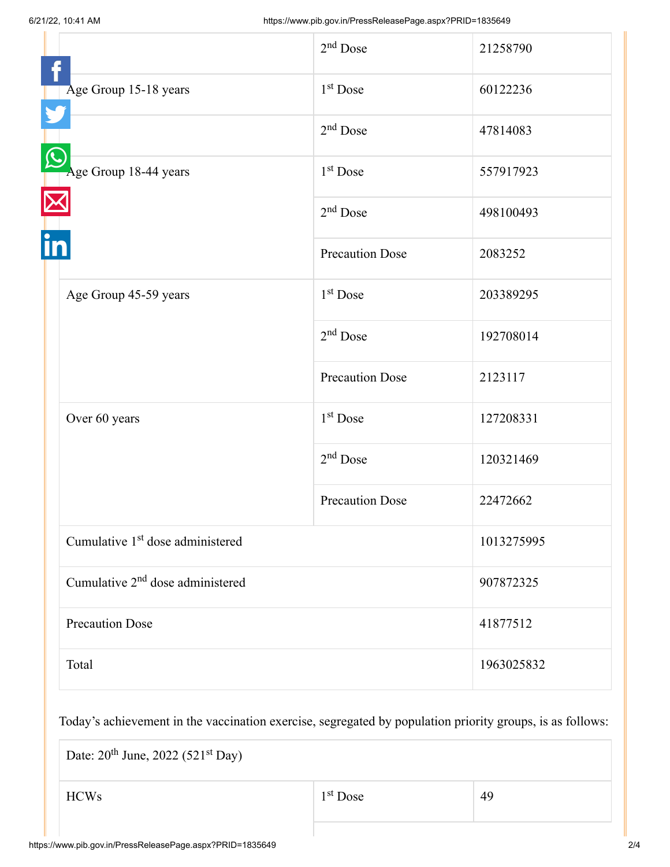|                                              | $2nd$ Dose             | 21258790   |
|----------------------------------------------|------------------------|------------|
| Age Group 15-18 years                        | 1 <sup>st</sup> Dose   | 60122236   |
|                                              | $2nd$ Dose             | 47814083   |
| Age Group 18-44 years                        | $1st$ Dose             | 557917923  |
|                                              | $2nd$ Dose             | 498100493  |
|                                              | <b>Precaution Dose</b> | 2083252    |
| Age Group 45-59 years                        | 1 <sup>st</sup> Dose   | 203389295  |
|                                              | $2nd$ Dose             | 192708014  |
|                                              | <b>Precaution Dose</b> | 2123117    |
| Over 60 years                                | 1 <sup>st</sup> Dose   | 127208331  |
|                                              | $2nd$ Dose             | 120321469  |
|                                              | <b>Precaution Dose</b> | 22472662   |
| Cumulative 1 <sup>st</sup> dose administered |                        | 1013275995 |
| Cumulative 2 <sup>nd</sup> dose administered |                        | 907872325  |
| <b>Precaution Dose</b>                       |                        | 41877512   |
| Total                                        |                        | 1963025832 |

Today's achievement in the vaccination exercise, segregated by population priority groups, is as follows:

Date:  $20^{th}$  June,  $2022$  (521<sup>st</sup> Day)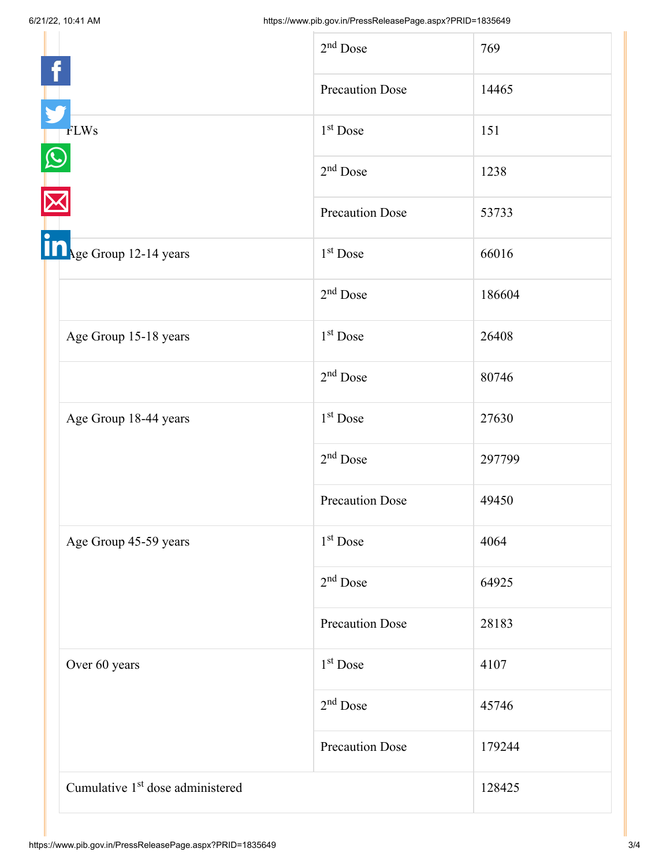|                                              | $2nd$ Dose             | 769    |
|----------------------------------------------|------------------------|--------|
|                                              | <b>Precaution Dose</b> | 14465  |
| <b>FLWs</b>                                  | 1 <sup>st</sup> Dose   | 151    |
|                                              | $2nd$ Dose             | 1238   |
|                                              | <b>Precaution Dose</b> | 53733  |
| In <sub>Age Group</sub> 12-14 years          | $1st$ Dose             | 66016  |
|                                              | $2nd$ Dose             | 186604 |
| Age Group 15-18 years                        | 1 <sup>st</sup> Dose   | 26408  |
|                                              | $2nd$ Dose             | 80746  |
| Age Group 18-44 years                        | $1st$ Dose             | 27630  |
|                                              | $2nd$ Dose             | 297799 |
|                                              | <b>Precaution Dose</b> | 49450  |
| Age Group 45-59 years                        | $1st$ Dose             | 4064   |
|                                              | $2nd$ Dose             | 64925  |
|                                              | <b>Precaution Dose</b> | 28183  |
| Over 60 years                                | 1 <sup>st</sup> Dose   | 4107   |
|                                              | $2nd$ Dose             | 45746  |
|                                              | <b>Precaution Dose</b> | 179244 |
| Cumulative 1 <sup>st</sup> dose administered |                        | 128425 |